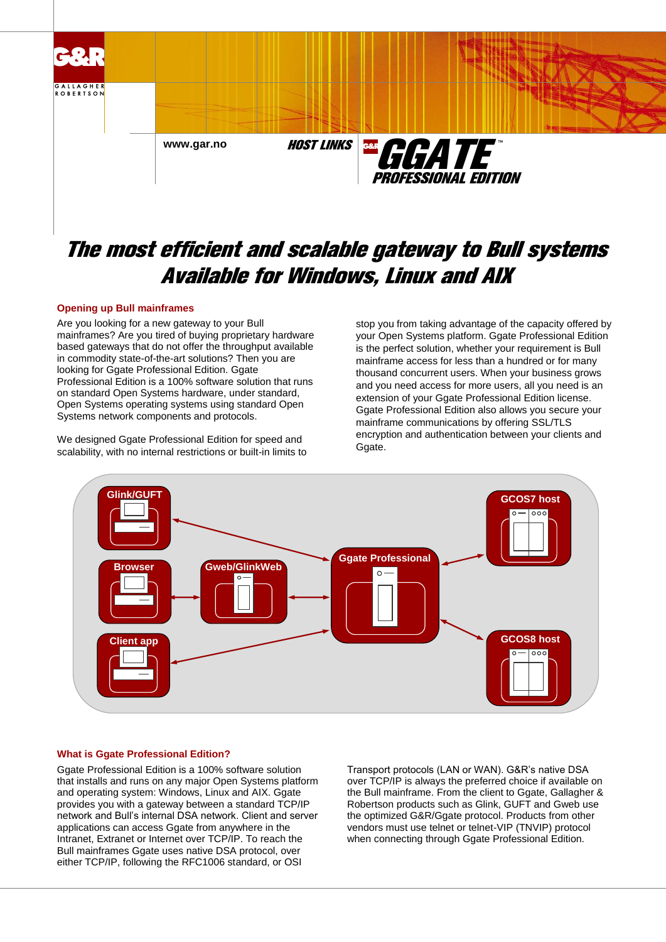

# The most efficient and scalable gateway to Bull systems Available for Windows, Linux and AIX

# **Opening up Bull mainframes**

Are you looking for a new gateway to your Bull mainframes? Are you tired of buying proprietary hardware based gateways that do not offer the throughput available in commodity state-of-the-art solutions? Then you are looking for Ggate Professional Edition. Ggate Professional Edition is a 100% software solution that runs on standard Open Systems hardware, under standard, Open Systems operating systems using standard Open Systems network components and protocols.

We designed Ggate Professional Edition for speed and scalability, with no internal restrictions or built-in limits to stop you from taking advantage of the capacity offered by your Open Systems platform. Ggate Professional Edition is the perfect solution, whether your requirement is Bull mainframe access for less than a hundred or for many thousand concurrent users. When your business grows and you need access for more users, all you need is an extension of your Ggate Professional Edition license. Ggate Professional Edition also allows you secure your mainframe communications by offering SSL/TLS encryption and authentication between your clients and Ggate.



# **What is Ggate Professional Edition?**

Ggate Professional Edition is a 100% software solution that installs and runs on any major Open Systems platform and operating system: Windows, Linux and AIX. Ggate provides you with a gateway between a standard TCP/IP network and Bull's internal DSA network. Client and server applications can access Ggate from anywhere in the Intranet, Extranet or Internet over TCP/IP. To reach the Bull mainframes Ggate uses native DSA protocol, over either TCP/IP, following the RFC1006 standard, or OSI

Transport protocols (LAN or WAN). G&R's native DSA over TCP/IP is always the preferred choice if available on the Bull mainframe. From the client to Ggate, Gallagher & Robertson products such as Glink, GUFT and Gweb use the optimized G&R/Ggate protocol. Products from other vendors must use telnet or telnet-VIP (TNVIP) protocol when connecting through Ggate Professional Edition.